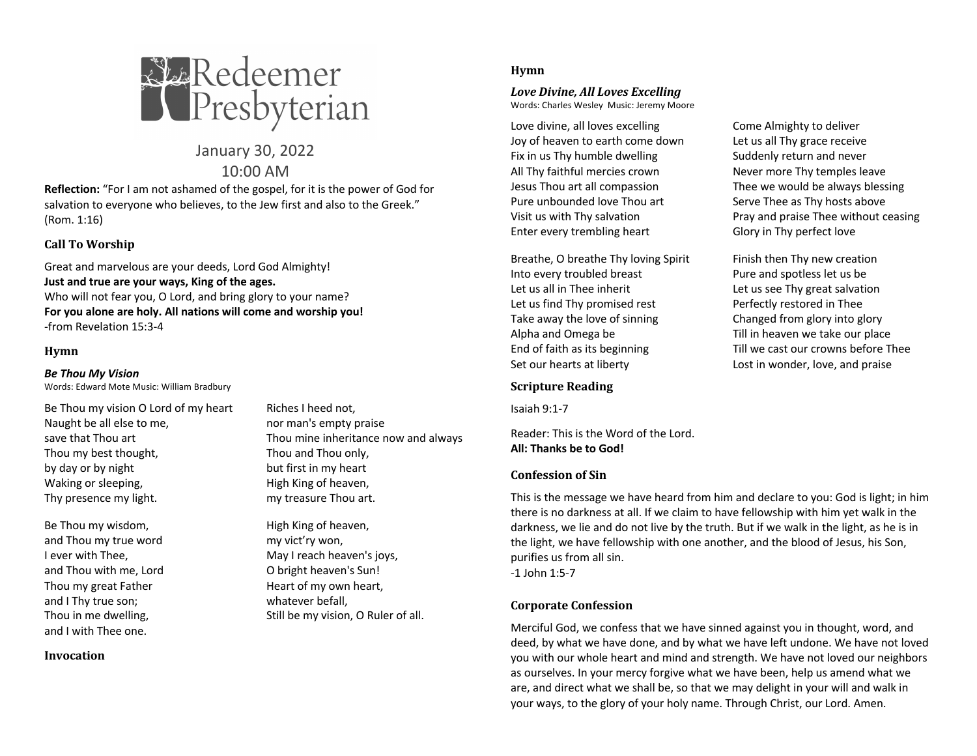

January 30, 2022 10:00 AM

**Reflection:** "For I am not ashamed of the gospel, for it is the power of God for salvation to everyone who believes, to the Jew first and also to the Greek." (Rom. 1:16)

## **Call To Worship**

Great and marvelous are your deeds, Lord God Almighty! **Just and true are your ways, King of the ages.** Who will not fear you, O Lord, and bring glory to your name? **For you alone are holy. All nations will come and worship you!** -from Revelation 15:3-4

#### **Hymn**

*Be Thou My Vision*

Words: Edward Mote Music: William Bradbury

Be Thou my vision O Lord of my heart Riches I heed not, Naught be all else to me, nor man's empty praise Thou my best thought, Thou and Thou only, by day or by night but first in my heart Waking or sleeping, The Migh King of heaven, Thy presence my light. Thy presence my light.

Be Thou my wisdom, The Righ King of heaven, and Thou my true word my vict'ry won, and Thou with me, Lord **O** bright heaven's Sun! and I Thy true son; example a whatever befall, and I with Thee one.

**Invocation**

save that Thou art Thou mine inheritance now and always

I ever with Thee, **May I reach heaven's joys**, Thou my great Father Heart of my own heart, Thou in me dwelling, Thou in me dwelling, Still be my vision, O Ruler of all.

### **Hymn**

#### *Love Divine, All Loves Excelling* Words: Charles Wesley Music: Jeremy Moore

Love divine, all loves excelling Come Almighty to deliver Joy of heaven to earth come down Let us all Thy grace receive Fix in us Thy humble dwelling Suddenly return and never All Thy faithful mercies crown Never more Thy temples leave Jesus Thou art all compassion Thee we would be always blessing Pure unbounded love Thou art Serve Thee as Thy hosts above Enter every trembling heart Glory in Thy perfect love

Breathe, O breathe Thy loving Spirit Finish then Thy new creation Into every troubled breast Pure and spotless let us be Let us all in Thee inherit Let us see Thy great salvation Let us find Thy promised rest Perfectly restored in Thee Take away the love of sinning Changed from glory into glory Alpha and Omega be Till in heaven we take our place Set our hearts at liberty Lost in wonder, love, and praise

### **Scripture Reading**

Isaiah 9:1-7

Reader: This is the Word of the Lord. **All: Thanks be to God!**

#### **Confession of Sin**

This is the message we have heard from him and declare to you: God is light; in him there is no darkness at all. If we claim to have fellowship with him yet walk in the darkness, we lie and do not live by the truth. But if we walk in the light, as he is in the light, we have fellowship with one another, and the blood of Jesus, his Son, purifies us from all sin. -1 John 1:5-7

### **Corporate Confession**

Merciful God, we confess that we have sinned against you in thought, word, and deed, by what we have done, and by what we have left undone. We have not loved you with our whole heart and mind and strength. We have not loved our neighbors as ourselves. In your mercy forgive what we have been, help us amend what we are, and direct what we shall be, so that we may delight in your will and walk in your ways, to the glory of your holy name. Through Christ, our Lord. Amen.

Visit us with Thy salvation **Pray and praise Thee without ceasing** Visit us with Thy salvation

End of faith as its beginning Till we cast our crowns before Thee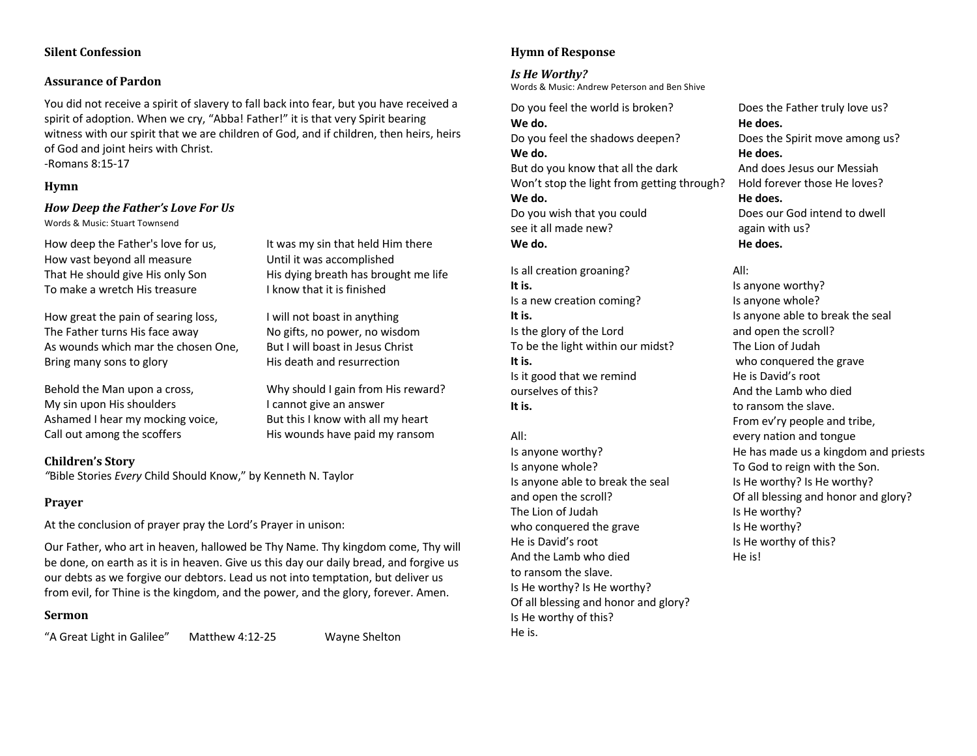#### **Silent Confession**

#### **Assurance of Pardon**

You did not receive a spirit of slavery to fall back into fear, but you have received a spirit of adoption. When we cry, "Abba! Father!" it is that very Spirit bearing witness with our spirit that we are children of God, and if children, then heirs, heirs of God and joint heirs with Christ. -Romans 8:15-17

#### **Hymn**

## *How Deep the Father's Love For Us*

Words & Music: Stuart Townsend

How great the pain of searing loss, I will not boast in anything The Father turns His face away No gifts, no power, no wisdom As wounds which mar the chosen One, But I will boast in Jesus Christ Bring many sons to glory **His death and resurrection** 

My sin upon His shoulders **I cannot give an answer** Ashamed I hear my mocking voice, But this I know with all my heart Call out among the scoffers His wounds have paid my ransom

**Children's Story** *"*Bible Stories *Every* Child Should Know," by Kenneth N. Taylor

### **Prayer**

At the conclusion of prayer pray the Lord's Prayer in unison:

Our Father, who art in heaven, hallowed be Thy Name. Thy kingdom come, Thy will be done, on earth as it is in heaven. Give us this day our daily bread, and forgive us our debts as we forgive our debtors. Lead us not into temptation, but deliver us from evil, for Thine is the kingdom, and the power, and the glory, forever. Amen.

### **Sermon**

"A Great Light in Galilee" Matthew 4:12-25 Wayne Shelton

**Hymn of Response**

*Is He Worthy?* Words & Music: Andrew Peterson and Ben Shive

Do you feel the world is broken? Does the Father truly love us? **We do. He does.** Do you feel the shadows deepen? Does the Spirit move among us? We do. **He does.** He does. But do you know that all the dark And does Jesus our Messiah Won't stop the light from getting through? Hold forever those He loves? We do. **He does.** He does. Do you wish that you could Does our God intend to dwell see it all made new? again with us? We do. **He does.** He does.

Is all creation groaning? All: **It is.** It is anyone worthy? Is a new creation coming? Is anyone whole? **It is.** It is anyone able to break the seal Is the glory of the Lord and open the scroll? To be the light within our midst? The Lion of Judah **It is.** who conquered the grave Is it good that we remind He is David's root ourselves of this? And the Lamb who died **It is.** to ransom the slave.

Is anyone whole? To God to reign with the Son. Is anyone able to break the seal Is He worthy? Is He worthy? The Lion of Judah Is He worthy? who conquered the grave Is He worthy? He is David's root Is He worthy of this? And the Lamb who died he is set the is! to ransom the slave. Is He worthy? Is He worthy? Of all blessing and honor and glory? Is He worthy of this? He is.

From ev'ry people and tribe, All: every nation and tongue Is anyone worthy? He has made us a kingdom and priests and open the scroll? Of all blessing and honor and glory?

# How deep the Father's love for us, It was my sin that held Him there How vast beyond all measure Until it was accomplished That He should give His only Son His dying breath has brought me life To make a wretch His treasure I know that it is finished

Behold the Man upon a cross, Why should I gain from His reward?